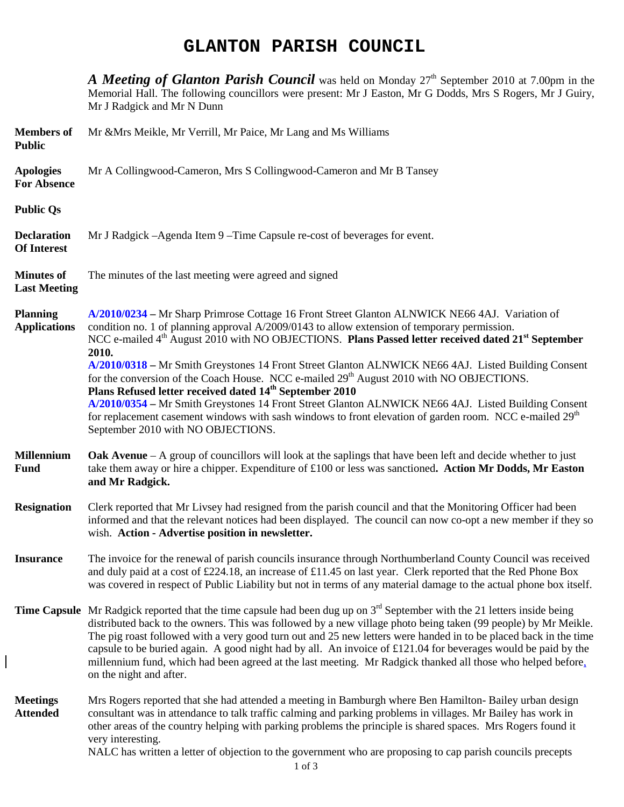# **GLANTON PARISH COUNCIL**

*A Meeting of Glanton Parish Council* was held on Monday 27<sup>th</sup> September 2010 at 7.00pm in the Memorial Hall. The following councillors were present: Mr J Easton, Mr G Dodds, Mrs S Rogers, Mr J Guiry, Mr J Radgick and Mr N Dunn

| <b>Members</b> of<br><b>Public</b>       | Mr & Mrs Meikle, Mr Verrill, Mr Paice, Mr Lang and Ms Williams                                                                                                                                                                                                                                                                                                                                                                                                                                                                                                                                                                                                                                                                                                                                                                                                                                  |
|------------------------------------------|-------------------------------------------------------------------------------------------------------------------------------------------------------------------------------------------------------------------------------------------------------------------------------------------------------------------------------------------------------------------------------------------------------------------------------------------------------------------------------------------------------------------------------------------------------------------------------------------------------------------------------------------------------------------------------------------------------------------------------------------------------------------------------------------------------------------------------------------------------------------------------------------------|
| <b>Apologies</b><br><b>For Absence</b>   | Mr A Collingwood-Cameron, Mrs S Collingwood-Cameron and Mr B Tansey                                                                                                                                                                                                                                                                                                                                                                                                                                                                                                                                                                                                                                                                                                                                                                                                                             |
| <b>Public Qs</b>                         |                                                                                                                                                                                                                                                                                                                                                                                                                                                                                                                                                                                                                                                                                                                                                                                                                                                                                                 |
| <b>Declaration</b><br><b>Of Interest</b> | Mr J Radgick – Agenda Item 9 – Time Capsule re-cost of beverages for event.                                                                                                                                                                                                                                                                                                                                                                                                                                                                                                                                                                                                                                                                                                                                                                                                                     |
| <b>Minutes of</b><br><b>Last Meeting</b> | The minutes of the last meeting were agreed and signed                                                                                                                                                                                                                                                                                                                                                                                                                                                                                                                                                                                                                                                                                                                                                                                                                                          |
| <b>Planning</b><br><b>Applications</b>   | A/2010/0234 – Mr Sharp Primrose Cottage 16 Front Street Glanton ALNWICK NE66 4AJ. Variation of<br>condition no. 1 of planning approval A/2009/0143 to allow extension of temporary permission.<br>NCC e-mailed 4 <sup>th</sup> August 2010 with NO OBJECTIONS. Plans Passed letter received dated 21 <sup>st</sup> September<br>2010.<br>A/2010/0318 - Mr Smith Greystones 14 Front Street Glanton ALNWICK NE66 4AJ. Listed Building Consent<br>for the conversion of the Coach House. NCC e-mailed 29 <sup>th</sup> August 2010 with NO OBJECTIONS.<br>Plans Refused letter received dated 14 <sup>th</sup> September 2010<br>A/2010/0354 - Mr Smith Greystones 14 Front Street Glanton ALNWICK NE66 4AJ. Listed Building Consent<br>for replacement casement windows with sash windows to front elevation of garden room. NCC e-mailed 29 <sup>th</sup><br>September 2010 with NO OBJECTIONS. |
|                                          |                                                                                                                                                                                                                                                                                                                                                                                                                                                                                                                                                                                                                                                                                                                                                                                                                                                                                                 |
| <b>Millennium</b><br><b>Fund</b>         | <b>Oak Avenue</b> – A group of councillors will look at the saplings that have been left and decide whether to just<br>take them away or hire a chipper. Expenditure of £100 or less was sanctioned. Action Mr Dodds, Mr Easton<br>and Mr Radgick.                                                                                                                                                                                                                                                                                                                                                                                                                                                                                                                                                                                                                                              |
| <b>Resignation</b>                       | Clerk reported that Mr Livsey had resigned from the parish council and that the Monitoring Officer had been<br>informed and that the relevant notices had been displayed. The council can now co-opt a new member if they so<br>wish. Action - Advertise position in newsletter.                                                                                                                                                                                                                                                                                                                                                                                                                                                                                                                                                                                                                |
| <b>Insurance</b>                         | The invoice for the renewal of parish councils insurance through Northumberland County Council was received<br>and duly paid at a cost of £224.18, an increase of £11.45 on last year. Clerk reported that the Red Phone Box<br>was covered in respect of Public Liability but not in terms of any material damage to the actual phone box itself.                                                                                                                                                                                                                                                                                                                                                                                                                                                                                                                                              |
|                                          | <b>Time Capsule</b> Mr Radgick reported that the time capsule had been dug up on $3rd$ September with the 21 letters inside being<br>distributed back to the owners. This was followed by a new village photo being taken (99 people) by Mr Meikle.<br>The pig roast followed with a very good turn out and 25 new letters were handed in to be placed back in the time<br>capsule to be buried again. A good night had by all. An invoice of £121.04 for beverages would be paid by the<br>millennium fund, which had been agreed at the last meeting. Mr Radgick thanked all those who helped before,<br>on the night and after.                                                                                                                                                                                                                                                              |

 $\overline{\phantom{a}}$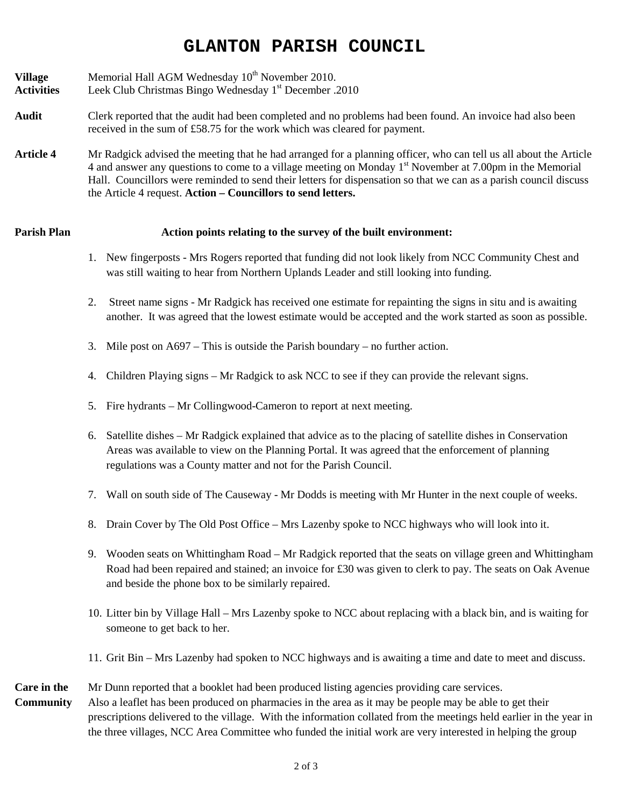# **GLANTON PARISH COUNCIL**

**Village** Memorial Hall AGM Wednesday 10<sup>th</sup> November 2010.

- **Activities** Leek Club Christmas Bingo Wednesday 1st December .2010
- **Audit** Clerk reported that the audit had been completed and no problems had been found. An invoice had also been received in the sum of £58.75 for the work which was cleared for payment.
- **Article 4** Mr Radgick advised the meeting that he had arranged for a planning officer, who can tell us all about the Article 4 and answer any questions to come to a village meeting on Monday 1<sup>st</sup> November at 7.00pm in the Memorial Hall. Councillors were reminded to send their letters for dispensation so that we can as a parish council discuss the Article 4 request. **Action – Councillors to send letters.**

### **Parish Plan Action points relating to the survey of the built environment:**

- 1. New fingerposts Mrs Rogers reported that funding did not look likely from NCC Community Chest and was still waiting to hear from Northern Uplands Leader and still looking into funding.
- 2. Street name signs Mr Radgick has received one estimate for repainting the signs in situ and is awaiting another. It was agreed that the lowest estimate would be accepted and the work started as soon as possible.
- 3. Mile post on A697 This is outside the Parish boundary no further action.
- 4. Children Playing signs Mr Radgick to ask NCC to see if they can provide the relevant signs.
- 5. Fire hydrants Mr Collingwood-Cameron to report at next meeting.
- 6. Satellite dishes Mr Radgick explained that advice as to the placing of satellite dishes in Conservation Areas was available to view on the Planning Portal. It was agreed that the enforcement of planning regulations was a County matter and not for the Parish Council.
- 7. Wall on south side of The Causeway Mr Dodds is meeting with Mr Hunter in the next couple of weeks.
- 8. Drain Cover by The Old Post Office Mrs Lazenby spoke to NCC highways who will look into it.
- 9. Wooden seats on Whittingham Road Mr Radgick reported that the seats on village green and Whittingham Road had been repaired and stained; an invoice for £30 was given to clerk to pay. The seats on Oak Avenue and beside the phone box to be similarly repaired.
- 10. Litter bin by Village Hall Mrs Lazenby spoke to NCC about replacing with a black bin, and is waiting for someone to get back to her.
- 11. Grit Bin Mrs Lazenby had spoken to NCC highways and is awaiting a time and date to meet and discuss.

## **Care in the** Mr Dunn reported that a booklet had been produced listing agencies providing care services. **Community** Also a leaflet has been produced on pharmacies in the area as it may be people may be able to get their prescriptions delivered to the village. With the information collated from the meetings held earlier in the year in the three villages, NCC Area Committee who funded the initial work are very interested in helping the group